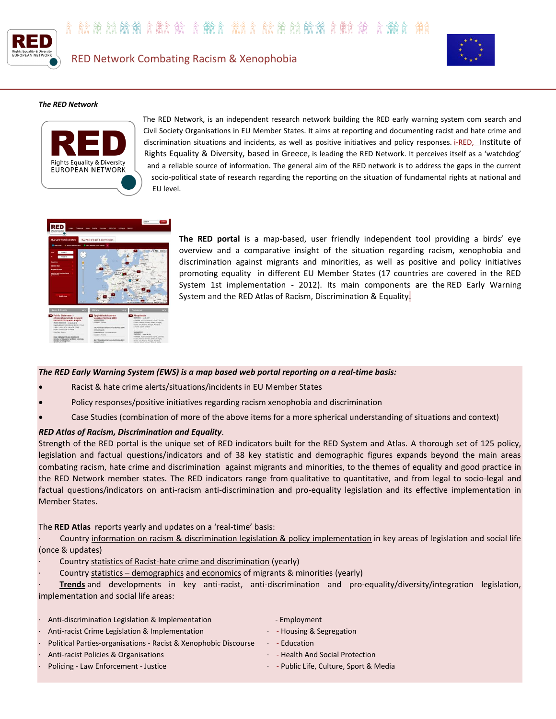





## *The RED Network*



The RED Network, is an independent research network building the RED early warning system com search and Civil Society Organisations in EU Member States. It aims at reporting and documenting racist and hate crime and discrimination situations and incidents, as well as positive initiatives and policy responses. *i-RED*, Institute of [Rights Equality & Diversity, based in Greece,](http://www.i-red.eu/) is leading the RED Network. It perceives itself as a 'watchdog' and a reliable source of information. The general aim of the RED network is to address the gaps in the current socio-political state of research regarding the reporting on the situation of fundamental rights at national and EU level.



**The RED portal** is a map-based, user friendly independent tool providing a birds' eye overview and a comparative insight of the situation regarding racism, xenophobia and discrimination against migrants and minorities, as well as positive and policy initiatives promoting equality in different EU Member States (17 countries are covered in the RED System 1st implementation - 2012). Its main components are the RED Early Warning System and the RED Atlas of Racism, Discrimination & Equality.

## *The RED Early Warning System (EWS) is a map based web portal reporting on a real-time basis:*

- Racist & hate crime alerts/situations/incidents in EU Member States
- Policy responses/positive initiatives regarding racism xenophobia and discrimination
- Case Studies (combination of more of the above items for a more spherical understanding of situations and context)

## *RED Atlas of Racism, Discrimination and Equality.*

Strength of the RED portal is the unique set of RED indicators built for the RED System and Atlas. A thorough set of 125 policy, legislation and factual questions/indicators and of 38 key statistic and demographic figures expands beyond the main areas combating racism, hate crime and discrimination against migrants and minorities, to the themes of equality and good practice in the RED Network member states. The RED indicators range from qualitative to quantitative, and from legal to socio-legal and factual questions/indicators on anti-racism anti-discrimination and pro-equality legislation and its effective implementation in Member States.

The **RED Atlas** reports yearly and updates on a 'real-time' basis:

Country information on racism & discrimination legislation & policy implementation in key areas of legislation and social life (once & updates)

- Country statistics of Racist-hate crime and discrimination (yearly)
- Country statistics demographics and economics of migrants & minorities (yearly)

· **Trends** and developments in key anti-racist, anti-discrimination and pro-equality/diversity/integration legislation, implementation and social life areas:

| $\bullet$ | Anti-discrimination Legislation & Implementation                | - Employment                            |
|-----------|-----------------------------------------------------------------|-----------------------------------------|
|           | . Anti-racist Crime Legislation & Implementation                | - Housing & Segregation                 |
|           | Political Parties-organisations - Racist & Xenophobic Discourse | - Education                             |
| $\bullet$ | Anti-racist Policies & Organisations                            | - Health And Social Protection          |
|           | Policing - Law Enforcement - Justice                            | · - Public Life, Culture, Sport & Media |